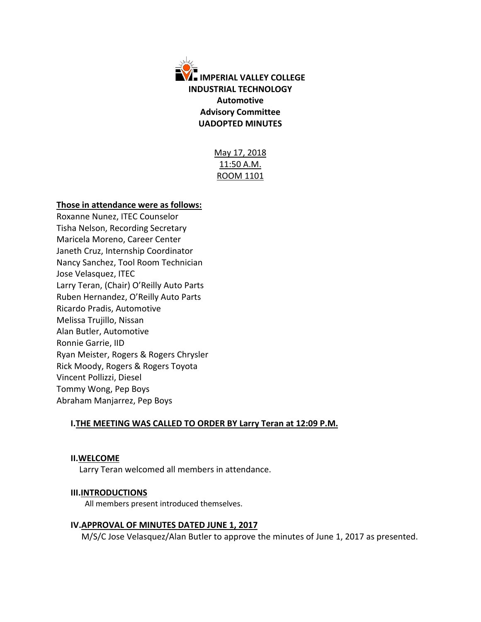

May 17, 2018 11:50 A.M. ROOM 1101

### **Those in attendance were as follows:**

Roxanne Nunez, ITEC Counselor Tisha Nelson, Recording Secretary Maricela Moreno, Career Center Janeth Cruz, Internship Coordinator Nancy Sanchez, Tool Room Technician Jose Velasquez, ITEC Larry Teran, (Chair) O'Reilly Auto Parts Ruben Hernandez, O'Reilly Auto Parts Ricardo Pradis, Automotive Melissa Trujillo, Nissan Alan Butler, Automotive Ronnie Garrie, IID Ryan Meister, Rogers & Rogers Chrysler Rick Moody, Rogers & Rogers Toyota Vincent Pollizzi, Diesel Tommy Wong, Pep Boys Abraham Manjarrez, Pep Boys

# **I.THE MEETING WAS CALLED TO ORDER BY Larry Teran at 12:09 P.M.**

#### **II.WELCOME**

Larry Teran welcomed all members in attendance.

# **III.INTRODUCTIONS**

All members present introduced themselves.

#### **IV.APPROVAL OF MINUTES DATED JUNE 1, 2017**

M/S/C Jose Velasquez/Alan Butler to approve the minutes of June 1, 2017 as presented.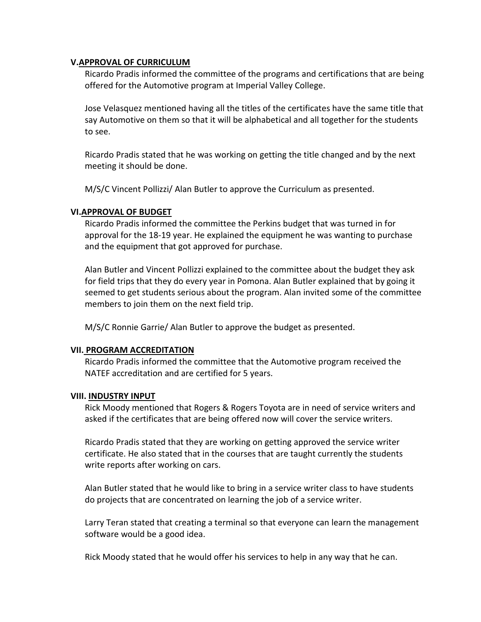### **V.APPROVAL OF CURRICULUM**

Ricardo Pradis informed the committee of the programs and certifications that are being offered for the Automotive program at Imperial Valley College.

Jose Velasquez mentioned having all the titles of the certificates have the same title that say Automotive on them so that it will be alphabetical and all together for the students to see.

Ricardo Pradis stated that he was working on getting the title changed and by the next meeting it should be done.

M/S/C Vincent Pollizzi/ Alan Butler to approve the Curriculum as presented.

# **VI.APPROVAL OF BUDGET**

Ricardo Pradis informed the committee the Perkins budget that was turned in for approval for the 18-19 year. He explained the equipment he was wanting to purchase and the equipment that got approved for purchase.

Alan Butler and Vincent Pollizzi explained to the committee about the budget they ask for field trips that they do every year in Pomona. Alan Butler explained that by going it seemed to get students serious about the program. Alan invited some of the committee members to join them on the next field trip.

M/S/C Ronnie Garrie/ Alan Butler to approve the budget as presented.

# **VII. PROGRAM ACCREDITATION**

Ricardo Pradis informed the committee that the Automotive program received the NATEF accreditation and are certified for 5 years.

#### **VIII. INDUSTRY INPUT**

Rick Moody mentioned that Rogers & Rogers Toyota are in need of service writers and asked if the certificates that are being offered now will cover the service writers.

Ricardo Pradis stated that they are working on getting approved the service writer certificate. He also stated that in the courses that are taught currently the students write reports after working on cars.

Alan Butler stated that he would like to bring in a service writer class to have students do projects that are concentrated on learning the job of a service writer.

Larry Teran stated that creating a terminal so that everyone can learn the management software would be a good idea.

Rick Moody stated that he would offer his services to help in any way that he can.